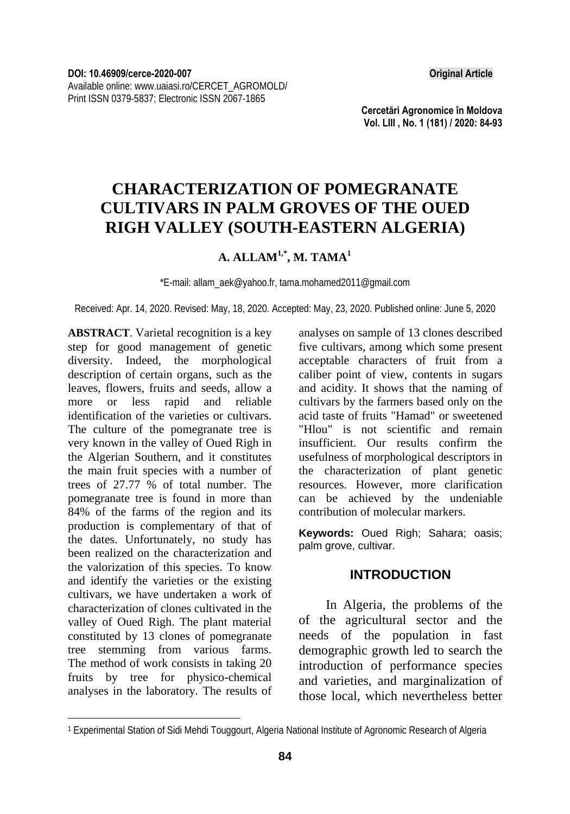**Cercetări Agronomice în Moldova Vol. LIII , No. 1 (181) / 2020: 84-93** 

# **CHARACTERIZATION OF POMEGRANATE CULTIVARS IN PALM GROVES OF THE OUED RIGH VALLEY (SOUTH-EASTERN ALGERIA)**

## **A. ALLAM1,\*, M. TAMA1**

\*E-mail: allam\_aek@yahoo.fr, tama.mohamed2011@gmail.com

Received: Apr. 14, 2020. Revised: May, 18, 2020. Accepted: May, 23, 2020. Published online: June 5, 2020

**ABSTRACT**. Varietal recognition is a key step for good management of genetic diversity. Indeed, the morphological description of certain organs, such as the leaves, flowers, fruits and seeds, allow a more or less rapid and reliable identification of the varieties or cultivars. The culture of the pomegranate tree is very known in the valley of Oued Righ in the Algerian Southern, and it constitutes the main fruit species with a number of trees of 27.77 % of total number. The pomegranate tree is found in more than 84% of the farms of the region and its production is complementary of that of the dates. Unfortunately, no study has been realized on the characterization and the valorization of this species. To know and identify the varieties or the existing cultivars, we have undertaken a work of characterization of clones cultivated in the valley of Oued Righ. The plant material constituted by 13 clones of pomegranate tree stemming from various farms. The method of work consists in taking 20 fruits by tree for physico-chemical analyses in the laboratory. The results of

l

analyses on sample of 13 clones described five cultivars, among which some present acceptable characters of fruit from a caliber point of view, contents in sugars and acidity. It shows that the naming of cultivars by the farmers based only on the acid taste of fruits "Hamad" or sweetened "Hlou" is not scientific and remain insufficient. Our results confirm the usefulness of morphological descriptors in the characterization of plant genetic resources. However, more clarification can be achieved by the undeniable contribution of molecular markers.

**Keywords:** Oued Righ; Sahara; oasis; palm grove, cultivar.

### **INTRODUCTION**

In Algeria, the problems of the of the agricultural sector and the needs of the population in fast demographic growth led to search the introduction of performance species and varieties, and marginalization of those local, which nevertheless better

<sup>1</sup> Experimental Station of Sidi Mehdi Touggourt, Algeria National Institute of Agronomic Research of Algeria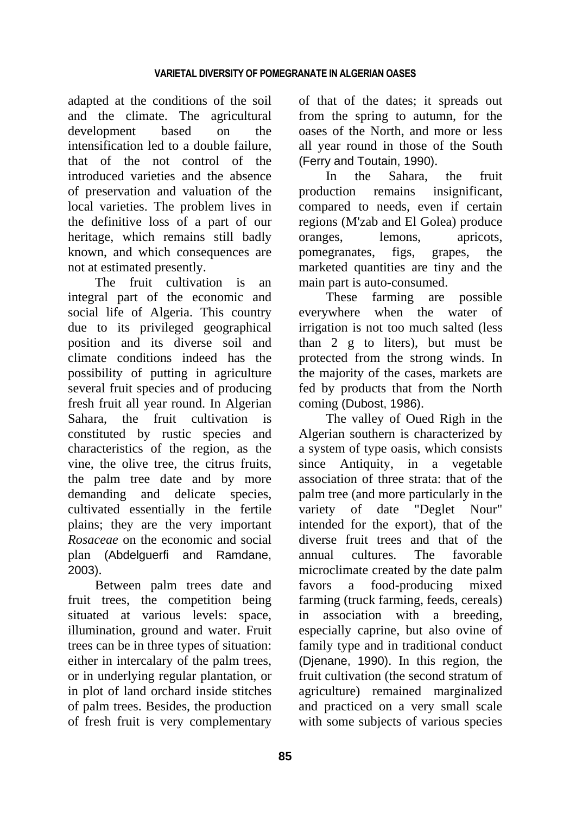adapted at the conditions of the soil and the climate. The agricultural development based on the intensification led to a double failure, that of the not control of the introduced varieties and the absence of preservation and valuation of the local varieties. The problem lives in the definitive loss of a part of our heritage, which remains still badly known, and which consequences are not at estimated presently.

The fruit cultivation is an integral part of the economic and social life of Algeria. This country due to its privileged geographical position and its diverse soil and climate conditions indeed has the possibility of putting in agriculture several fruit species and of producing fresh fruit all year round. In Algerian Sahara, the fruit cultivation is constituted by rustic species and characteristics of the region, as the vine, the olive tree, the citrus fruits, the palm tree date and by more demanding and delicate species, cultivated essentially in the fertile plains; they are the very important *Rosaceae* on the economic and social plan (Abdelguerfi and Ramdane, 2003).

Between palm trees date and fruit trees, the competition being situated at various levels: space, illumination, ground and water. Fruit trees can be in three types of situation: either in intercalary of the palm trees, or in underlying regular plantation, or in plot of land orchard inside stitches of palm trees. Besides, the production of fresh fruit is very complementary

of that of the dates; it spreads out from the spring to autumn, for the oases of the North, and more or less all year round in those of the South (Ferry and Toutain, 1990).

In the Sahara, the fruit production remains insignificant, compared to needs, even if certain regions (M'zab and El Golea) produce oranges, lemons, apricots, pomegranates, figs, grapes, the marketed quantities are tiny and the main part is auto-consumed.

These farming are possible everywhere when the water of irrigation is not too much salted (less than 2 g to liters), but must be protected from the strong winds. In the majority of the cases, markets are fed by products that from the North coming (Dubost, 1986).

The valley of Oued Righ in the Algerian southern is characterized by a system of type oasis, which consists since Antiquity, in a vegetable association of three strata: that of the palm tree (and more particularly in the variety of date "Deglet Nour" intended for the export), that of the diverse fruit trees and that of the annual cultures. The favorable microclimate created by the date palm favors a food-producing mixed farming (truck farming, feeds, cereals) in association with a breeding, especially caprine, but also ovine of family type and in traditional conduct (Djenane, 1990). In this region, the fruit cultivation (the second stratum of agriculture) remained marginalized and practiced on a very small scale with some subjects of various species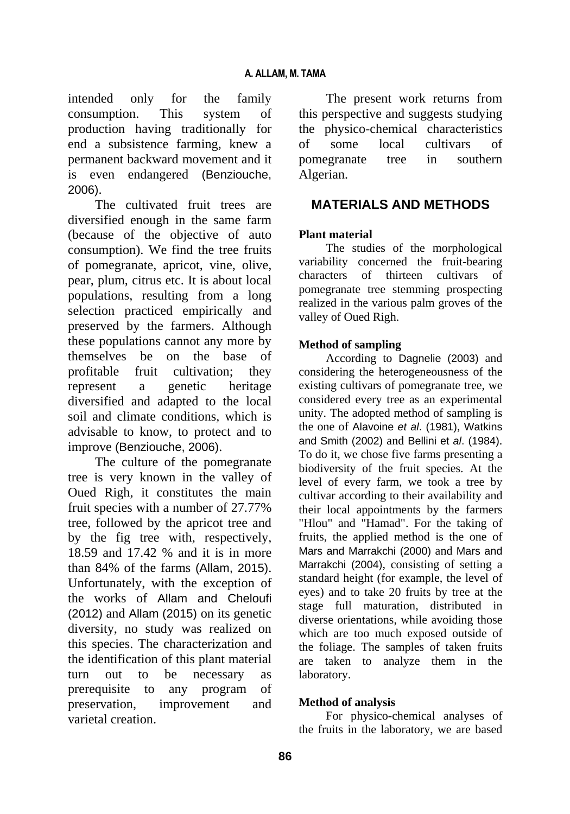intended only for the family consumption. This system of production having traditionally for end a subsistence farming, knew a permanent backward movement and it is even endangered (Benziouche, 2006).

The cultivated fruit trees are diversified enough in the same farm (because of the objective of auto consumption). We find the tree fruits of pomegranate, apricot, vine, olive, pear, plum, citrus etc. It is about local populations, resulting from a long selection practiced empirically and preserved by the farmers. Although these populations cannot any more by themselves be on the base of profitable fruit cultivation; they represent a genetic heritage diversified and adapted to the local soil and climate conditions, which is advisable to know, to protect and to improve (Benziouche, 2006).

The culture of the pomegranate tree is very known in the valley of Oued Righ, it constitutes the main fruit species with a number of 27.77% tree, followed by the apricot tree and by the fig tree with, respectively, 18.59 and 17.42 % and it is in more than 84% of the farms (Allam, 2015). Unfortunately, with the exception of the works of Allam and Cheloufi (2012) and Allam (2015) on its genetic diversity, no study was realized on this species. The characterization and the identification of this plant material turn out to be necessary as prerequisite to any program of preservation, improvement and varietal creation.

The present work returns from this perspective and suggests studying the physico-chemical characteristics of some local cultivars of pomegranate tree in southern Algerian.

### **MATERIALS AND METHODS**

### **Plant material**

The studies of the morphological variability concerned the fruit-bearing characters of thirteen cultivars of pomegranate tree stemming prospecting realized in the various palm groves of the valley of Oued Righ.

### **Method of sampling**

According to Dagnelie (2003) and considering the heterogeneousness of the existing cultivars of pomegranate tree, we considered every tree as an experimental unity. The adopted method of sampling is the one of Alavoine *et al*. (1981), Watkins and Smith (2002) and Bellini et *al*. (1984). To do it, we chose five farms presenting a biodiversity of the fruit species. At the level of every farm, we took a tree by cultivar according to their availability and their local appointments by the farmers "Hlou" and "Hamad". For the taking of fruits, the applied method is the one of Mars and Marrakchi (2000) and Mars and Marrakchi (2004), consisting of setting a standard height (for example, the level of eyes) and to take 20 fruits by tree at the stage full maturation, distributed in diverse orientations, while avoiding those which are too much exposed outside of the foliage. The samples of taken fruits are taken to analyze them in the laboratory.

### **Method of analysis**

For physico-chemical analyses of the fruits in the laboratory, we are based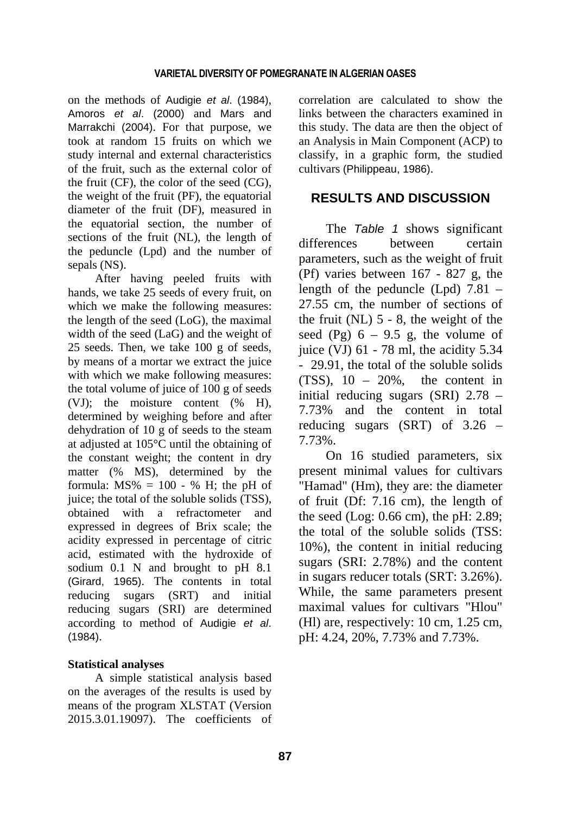#### **VARIETAL DIVERSITY OF POMEGRANATE IN ALGERIAN OASES**

on the methods of Audigie *et al*. (1984), Amoros *et al*. (2000) and Mars and Marrakchi (2004). For that purpose, we took at random 15 fruits on which we study internal and external characteristics of the fruit, such as the external color of the fruit (CF), the color of the seed (CG), the weight of the fruit (PF), the equatorial diameter of the fruit (DF), measured in the equatorial section, the number of sections of the fruit (NL), the length of the peduncle (Lpd) and the number of sepals (NS).

After having peeled fruits with hands, we take 25 seeds of every fruit, on which we make the following measures: the length of the seed (LoG), the maximal width of the seed (LaG) and the weight of 25 seeds. Then, we take 100 g of seeds, by means of a mortar we extract the juice with which we make following measures: the total volume of juice of 100 g of seeds (VJ); the moisture content (% H), determined by weighing before and after dehydration of 10 g of seeds to the steam at adjusted at 105°C until the obtaining of the constant weight; the content in dry matter (% MS), determined by the formula:  $MS\% = 100 - %$  H; the pH of juice; the total of the soluble solids (TSS), obtained with a refractometer and expressed in degrees of Brix scale; the acidity expressed in percentage of citric acid, estimated with the hydroxide of sodium 0.1 N and brought to pH 8.1 (Girard, 1965). The contents in total reducing sugars (SRT) and initial reducing sugars (SRI) are determined according to method of Audigie *et al*. (1984).

### **Statistical analyses**

A simple statistical analysis based on the averages of the results is used by means of the program XLSTAT (Version 2015.3.01.19097). The coefficients of correlation are calculated to show the links between the characters examined in this study. The data are then the object of an Analysis in Main Component (ACP) to classify, in a graphic form, the studied cultivars (Philippeau, 1986).

## **RESULTS AND DISCUSSION**

The *Table 1* shows significant differences between certain parameters, such as the weight of fruit (Pf) varies between 167 - 827 g, the length of the peduncle (Lpd) 7.81 – 27.55 cm, the number of sections of the fruit  $(NL)$  5 - 8, the weight of the seed (Pg)  $6 - 9.5$  g, the volume of juice (VJ) 61 - 78 ml, the acidity 5.34 - 29.91, the total of the soluble solids  $(TSS)$ ,  $10 - 20\%$ , the content in initial reducing sugars (SRI) 2.78 – 7.73% and the content in total reducing sugars (SRT) of 3.26 – 7.73%.

On 16 studied parameters, six present minimal values for cultivars "Hamad" (Hm), they are: the diameter of fruit (Df: 7.16 cm), the length of the seed (Log: 0.66 cm), the pH: 2.89; the total of the soluble solids (TSS: 10%), the content in initial reducing sugars (SRI: 2.78%) and the content in sugars reducer totals (SRT: 3.26%). While, the same parameters present maximal values for cultivars "Hlou" (Hl) are, respectively: 10 cm, 1.25 cm, pH: 4.24, 20%, 7.73% and 7.73%.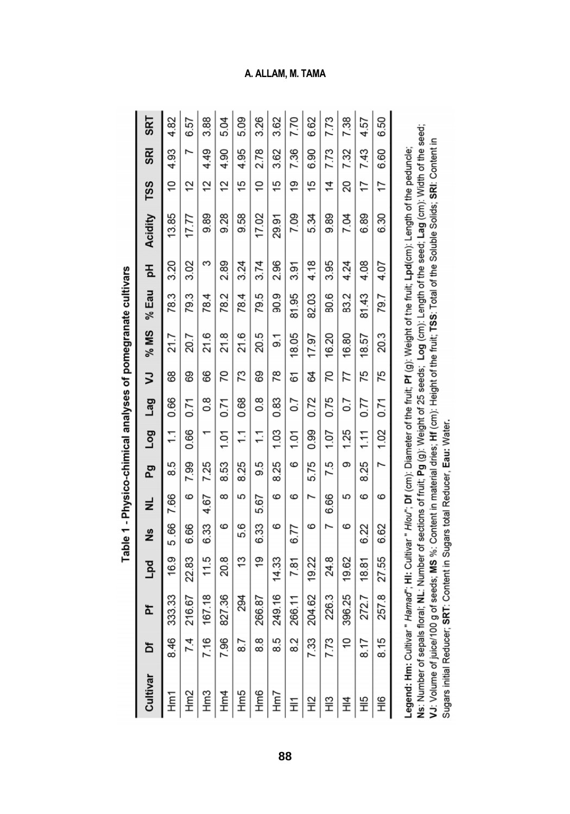| Cultivar                                                                                                                                                                                                                                                                                               | ъ              | ፚ      | pd<br>F | ۹Š   | ž        | Pg     | <b>Dog</b>       | Lag              | Ξ  | $%$ MS | % Eau | 짐    | Acidity  | TSS | <b>SRI</b> | SRT     |
|--------------------------------------------------------------------------------------------------------------------------------------------------------------------------------------------------------------------------------------------------------------------------------------------------------|----------------|--------|---------|------|----------|--------|------------------|------------------|----|--------|-------|------|----------|-----|------------|---------|
| Hm1                                                                                                                                                                                                                                                                                                    | 8.46           | 333.33 | 16.9    | 5.66 | 7.66     | 5<br>ထ | $\ddot{ }$       | 0.66             | 89 | 21.7   | 78.3  | 3.20 | 13.85    | S)  | 4.93       | 4.82    |
| Hm2                                                                                                                                                                                                                                                                                                    | 74             | 216.67 | 22.83   | 6.66 | စ        | 7.99   | 0.66             | 0.71             | 69 | 20.7   | 79.3  | 3.02 | 17.77    | 2   |            | 57<br>6 |
| Hm <sub>3</sub>                                                                                                                                                                                                                                                                                        | 7.16           | 167.18 | 11.5    | 6.33 | 4.67     | 7.25   |                  | 80               | 66 | 21.6   | 78.4  | ω    | 9.89     | 2   | 4.49       | 3.88    |
| Hm4                                                                                                                                                                                                                                                                                                    | 7.96           | 827.36 | 20.8    | စ    | $\infty$ | 8.53   | 1.01             | 0.71             | 20 | 21.8   | 78.2  | 2.89 | 9.28     | 2   | 4.90       | 5.04    |
| Hm5                                                                                                                                                                                                                                                                                                    | $\overline{8}$ | 294    | 13      | 5.6  | 5        | 8.25   | $\tilde{=}$      | 0.68             | 73 | 21.6   | 78.4  | 3.24 | 9.58     | 15  | 4.95       | 5.09    |
| Hm6                                                                                                                                                                                                                                                                                                    | 88             | 266.87 | 19      | 6.33 | 5.67     | 9.5    | $\tilde{t}$      | 80               | 69 | 20.5   | 79.5  | 3.74 | 17.02    | ă   | 2.78       | 3.26    |
| Hm7                                                                                                                                                                                                                                                                                                    | 5<br>ထဲ        | 249.16 | 14.33   | ဖ    | ဖ        | 8.25   | 1.03             | 0.83             | 78 | ွှ     | 90.9  | 2.96 | 29.91    | 15  | 3.62       | 3.62    |
| 듶                                                                                                                                                                                                                                                                                                      | 82             | 266.11 | 7.81    | 6.77 | စ        | စ      | $\overline{101}$ | $\overline{0.7}$ | 61 | 18.05  | 81.95 | 3.91 | 7.09     | ë   | 7.36       | 7.70    |
| 。<br>도                                                                                                                                                                                                                                                                                                 | 7.33           | 204.62 | 19.22   | ဖ    |          | 5.75   | 0.99             | 0.72             | Z  | 17.97  | 82.03 | 4.18 | 5.34     | 15  | 6.90       | 6.62    |
| 。<br>王                                                                                                                                                                                                                                                                                                 | 7.73           | 226.3  | 24.8    | N    | 6.66     | 7.5    | 1.07             | 0.75             | 20 | 16.20  | 80.6  | 3.95 | 9.89     | 4   | 7.73       | 7.73    |
| $\ddot{\Xi}$                                                                                                                                                                                                                                                                                           | ă              | 396.25 | 19.62   | ဖ    | 5        | Φ      | 1.25             | $\overline{0.7}$ | 77 | 16.80  | 83.2  | 4.24 | 7.04     | 20  | 7.32       | 7.38    |
| 오<br>도                                                                                                                                                                                                                                                                                                 | 8.17           | 272.7  | 18.81   | 6.22 | ဖ        | 8.25   | 111              | 0.77             | 75 | 18.57  | 81.43 | 4.08 | 89<br>ٰڡ | 17  | 7.43       | 4.57    |
| 9<br>二                                                                                                                                                                                                                                                                                                 | 8.15           | 257.8  | 27.55   | 6.62 | စ        | 7      | 1.02             | 0.71             | 75 | 20.3   | 79.7  | 4.07 | 6.30     | 17  | 6.60       | 6.50    |
| Ns: Number of sepals floral; Number of sections of fruit; Pg (g): Weight of 25 seeds; Log (cm): Length of the seed; Lag (cm): Width of the seed;<br>Leqend: Hm: Cultivar " Hamad": Ni: Cultivar " Hlou": Df (cm): Diameter of the fruit: Pf (q): Weight of the fruit: Lpd(cm): Length of the peduncle: |                |        |         |      |          |        |                  |                  |    |        |       |      |          |     |            |         |

VJ: Volume of juice/100 g of seeds; MS %: Content in material dries; Hf (cm): Height of the fruit; TSS: Total of the Soluble Solids; SRI: Content in

Sugars initial Reducer; SRT: Content in Sugars total Reducer, Eau: Water.

Table 1 - Physico-chimical analyses of pomegranate cultivars

**A. ALLAM, M. TAMA**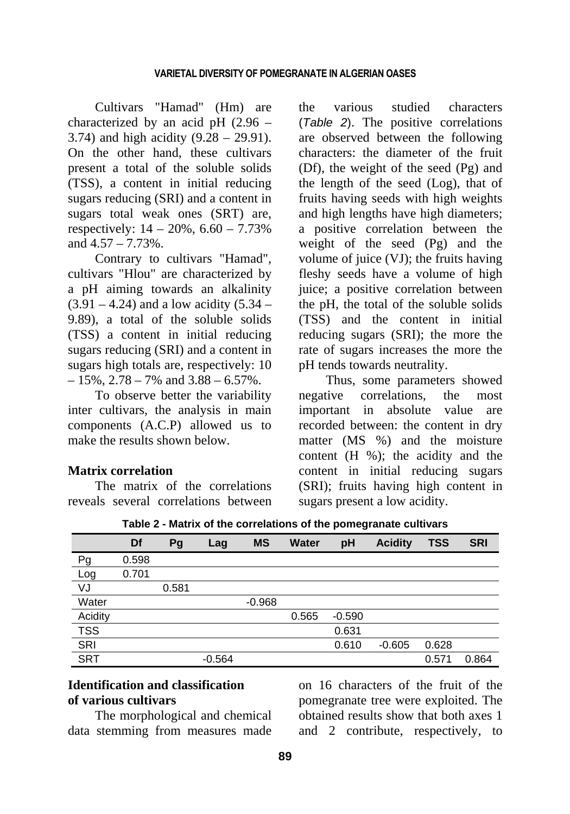Cultivars "Hamad" (Hm) are characterized by an acid pH (2.96 – 3.74) and high acidity (9.28 – 29.91). On the other hand, these cultivars present a total of the soluble solids (TSS), a content in initial reducing sugars reducing (SRI) and a content in sugars total weak ones (SRT) are, respectively:  $14 - 20\%$ ,  $6.60 - 7.73\%$ and  $4.57 - 7.73\%$ 

Contrary to cultivars "Hamad", cultivars "Hlou" are characterized by a pH aiming towards an alkalinity  $(3.91 - 4.24)$  and a low acidity  $(5.34 -$ 9.89), a total of the soluble solids (TSS) a content in initial reducing sugars reducing (SRI) and a content in sugars high totals are, respectively: 10  $-15\%, 2.78 - 7\%$  and  $3.88 - 6.57\%$ .

To observe better the variability inter cultivars, the analysis in main components (A.C.P) allowed us to make the results shown below.

### **Matrix correlation**

The matrix of the correlations reveals several correlations between the various studied characters (*Table 2*). The positive correlations are observed between the following characters: the diameter of the fruit (Df), the weight of the seed (Pg) and the length of the seed (Log), that of fruits having seeds with high weights and high lengths have high diameters; a positive correlation between the weight of the seed (Pg) and the volume of juice (VJ); the fruits having fleshy seeds have a volume of high juice; a positive correlation between the pH, the total of the soluble solids (TSS) and the content in initial reducing sugars (SRI); the more the rate of sugars increases the more the pH tends towards neutrality.

Thus, some parameters showed negative correlations, the most important in absolute value are recorded between: the content in dry matter (MS %) and the moisture content (H %); the acidity and the content in initial reducing sugars (SRI); fruits having high content in sugars present a low acidity.

|            | Df    | Pg    | Lag      | <b>MS</b> | Water | pH       | <b>Acidity</b> | <b>TSS</b> | <b>SRI</b> |
|------------|-------|-------|----------|-----------|-------|----------|----------------|------------|------------|
| Pg         | 0.598 |       |          |           |       |          |                |            |            |
| Log        | 0.701 |       |          |           |       |          |                |            |            |
| VJ         |       | 0.581 |          |           |       |          |                |            |            |
| Water      |       |       |          | $-0.968$  |       |          |                |            |            |
| Acidity    |       |       |          |           | 0.565 | $-0.590$ |                |            |            |
| <b>TSS</b> |       |       |          |           |       | 0.631    |                |            |            |
| SRI        |       |       |          |           |       | 0.610    | $-0.605$       | 0.628      |            |
| <b>SRT</b> |       |       | $-0.564$ |           |       |          |                | 0.571      | 0.864      |

**Table 2 - Matrix of the correlations of the pomegranate cultivars** 

## **Identification and classification of various cultivars**

The morphological and chemical data stemming from measures made on 16 characters of the fruit of the pomegranate tree were exploited. The obtained results show that both axes 1 and 2 contribute, respectively, to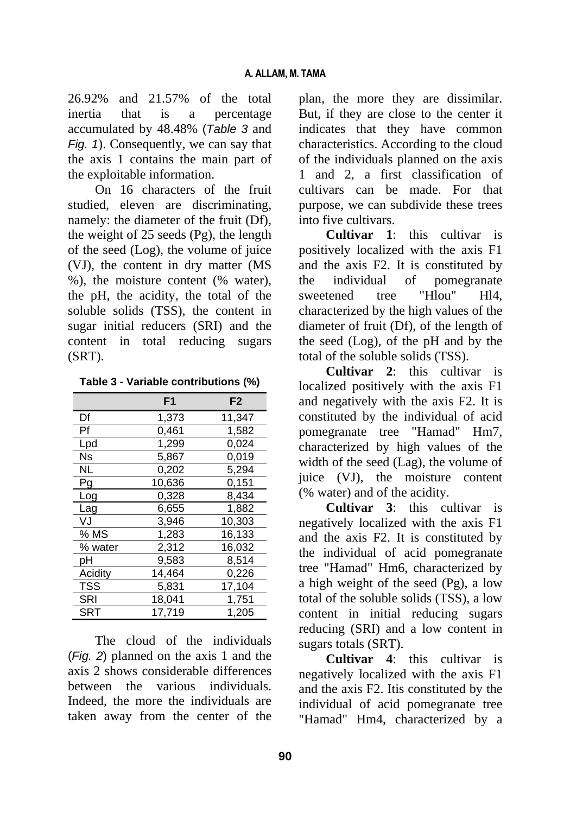26.92% and 21.57% of the total inertia that is a percentage accumulated by 48.48% (*Table 3* and *Fig. 1*). Consequently, we can say that the axis 1 contains the main part of the exploitable information.

On 16 characters of the fruit studied, eleven are discriminating, namely: the diameter of the fruit (Df), the weight of 25 seeds (Pg), the length of the seed (Log), the volume of juice (VJ), the content in dry matter (MS %), the moisture content (% water), the pH, the acidity, the total of the soluble solids (TSS), the content in sugar initial reducers (SRI) and the content in total reducing sugars (SRT).

| Table 3 - Variable contributions (%) |
|--------------------------------------|
|--------------------------------------|

|                   | F1     | F <sub>2</sub> |
|-------------------|--------|----------------|
| Df                | 1,373  | 11,347         |
| Pf                | 0,461  | 1,582          |
| Lpd               | 1,299  | 0,024          |
| Ns                | 5,867  | 0,019          |
| <b>NL</b>         | 0.202  | 5.294          |
| Pg                | 10,636 | 0,151          |
| Log               | 0,328  | 8,434          |
| Lag               | 6,655  | 1,882          |
| VJ                | 3,946  | 10,303         |
| $% M\overline{S}$ | 1,283  | 16,133         |
| % water           | 2,312  | 16,032         |
| рH                | 9,583  | 8,514          |
| Acidity           | 14,464 | 0,226          |
| <b>TSS</b>        | 5,831  | 17,104         |
| SRI               | 18,041 | 1,751          |
| SRT               | 17,719 | 1,205          |

The cloud of the individuals (*Fig. 2*) planned on the axis 1 and the axis 2 shows considerable differences between the various individuals. Indeed, the more the individuals are taken away from the center of the

plan, the more they are dissimilar. But, if they are close to the center it indicates that they have common characteristics. According to the cloud of the individuals planned on the axis 1 and 2, a first classification of cultivars can be made. For that purpose, we can subdivide these trees into five cultivars.

**Cultivar 1**: this cultivar is positively localized with the axis F1 and the axis F2. It is constituted by the individual of pomegranate sweetened tree "Hlou" Hl4, characterized by the high values of the diameter of fruit (Df), of the length of the seed (Log), of the pH and by the total of the soluble solids (TSS).

**Cultivar 2**: this cultivar is localized positively with the axis F1 and negatively with the axis F2. It is constituted by the individual of acid pomegranate tree "Hamad" Hm7, characterized by high values of the width of the seed (Lag), the volume of juice (VJ), the moisture content (% water) and of the acidity.

**Cultivar 3**: this cultivar is negatively localized with the axis F1 and the axis F2. It is constituted by the individual of acid pomegranate tree "Hamad" Hm6, characterized by a high weight of the seed (Pg), a low total of the soluble solids (TSS), a low content in initial reducing sugars reducing (SRI) and a low content in sugars totals (SRT).

**Cultivar 4**: this cultivar is negatively localized with the axis F1 and the axis F2. Itis constituted by the individual of acid pomegranate tree "Hamad" Hm4, characterized by a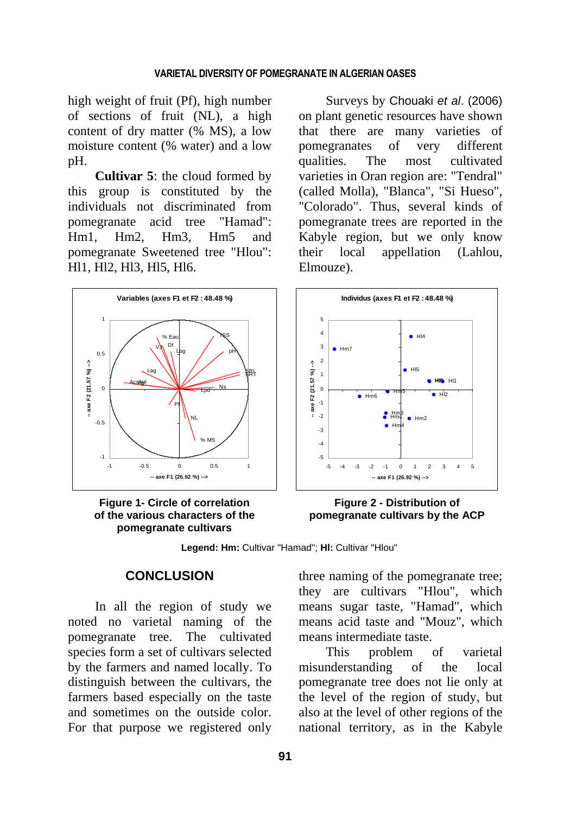#### **VARIETAL DIVERSITY OF POMEGRANATE IN ALGERIAN OASES**

high weight of fruit (Pf), high number of sections of fruit (NL), a high content of dry matter (% MS), a low moisture content (% water) and a low pH.

**Cultivar 5**: the cloud formed by this group is constituted by the individuals not discriminated from pomegranate acid tree "Hamad": Hm1, Hm2, Hm3, Hm5 and pomegranate Sweetened tree "Hlou": Hl1, Hl2, Hl3, Hl5, Hl6.

**Variables (axes F1 et F2 : 48.48 %)** 1 TSS  $\%$  E Df VJ Log pH 0.5 Ŷ **-- axe F2 (21.57 %) -->** 。<br>Qu Lag SRI SRT axe F2 (21.57 **Acidité** Pg 0  $Lpd$  Ns Pf NL -0.5 % MS -1 -1 -0.5 0 0.5 1 **-- axe F1 (26.92 %) -->**

**Figure 1- Circle of correlation of the various characters of the pomegranate cultivars**

Surveys by Chouaki *et al*. (2006) on plant genetic resources have shown that there are many varieties of pomegranates of very different qualities. The most cultivated varieties in Oran region are: "Tendral" (called Molla), "Blanca", "Si Hueso", "Colorado". Thus, several kinds of pomegranate trees are reported in the Kabyle region, but we only know their local appellation (Lahlou, Elmouze).



**Figure 2 - Distribution of pomegranate cultivars by the ACP**

**Legend: Hm:** Cultivar "Hamad"; **Hl:** Cultivar "Hlou"

### **CONCLUSION**

In all the region of study we noted no varietal naming of the pomegranate tree. The cultivated species form a set of cultivars selected by the farmers and named locally. To distinguish between the cultivars, the farmers based especially on the taste and sometimes on the outside color. For that purpose we registered only

three naming of the pomegranate tree; they are cultivars "Hlou", which means sugar taste, "Hamad", which means acid taste and "Mouz", which means intermediate taste.

This problem of varietal misunderstanding of the local pomegranate tree does not lie only at the level of the region of study, but also at the level of other regions of the national territory, as in the Kabyle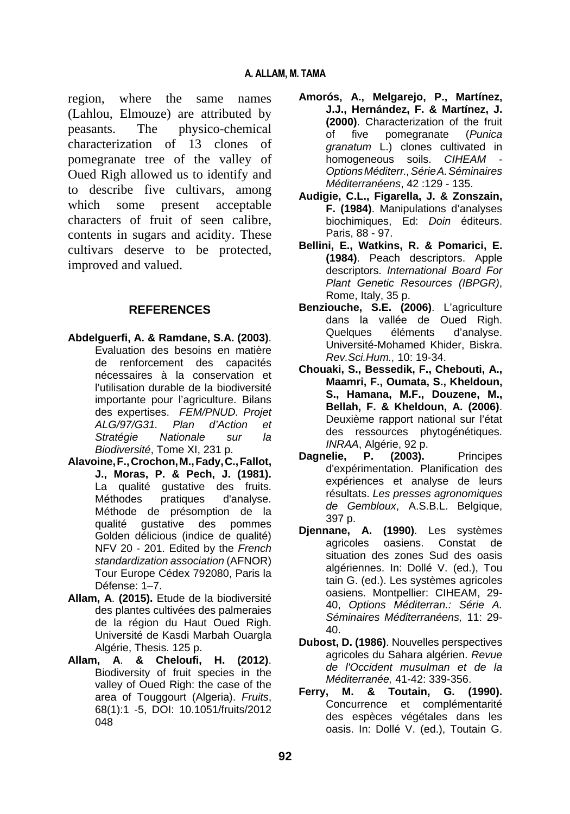region, where the same names (Lahlou, Elmouze) are attributed by peasants. The physico-chemical characterization of 13 clones of pomegranate tree of the valley of Oued Righ allowed us to identify and to describe five cultivars, among which some present acceptable characters of fruit of seen calibre, contents in sugars and acidity. These cultivars deserve to be protected, improved and valued.

### **REFERENCES**

- **Abdelguerfi, A. & Ramdane, S.A. (2003)**. Evaluation des besoins en matière de renforcement des capacités nécessaires à la conservation et l'utilisation durable de la biodiversité importante pour l'agriculture. Bilans des expertises. *FEM/PNUD. Projet ALG/97/G31. Plan d'Action et Stratégie Nationale sur la Biodiversité*, Tome XI, 231 p.
- **Alavoine,F.,Crochon,M.,Fady,C.,Fallot, J., Moras, P. & Pech, J. (1981).** La qualité gustative des fruits. Méthodes pratiques d'analyse. Méthode de présomption de la qualité gustative des pommes Golden délicious (indice de qualité) NFV 20 - 201. Edited by the *French standardization association* (AFNOR) Tour Europe Cédex 792080, Paris la Défense: 1–7.
- **Allam, A**. **(2015).** Etude de la biodiversité des plantes cultivées des palmeraies de la région du Haut Oued Righ. Université de Kasdi Marbah Ouargla Algérie, Thesis. 125 p.
- **Allam, A**. **& Cheloufi, H. (2012)**. Biodiversity of fruit species in the valley of Oued Righ: the case of the area of Touggourt (Algeria). *Fruits*, 68(1):1 -5, DOI: 10.1051/fruits/2012 048
- **Amorós, A., Melgarejo, P., Martínez, J.J., Hernández, F. & Martínez, J. (2000)**. Characterization of the fruit of five pomegranate (*Punica granatum* L.) clones cultivated in homogeneous soils. CIHEAM *OptionsMéditerr.,SérieA.Séminaires Méditerranéens*, 42 :129 - 135.
- **Audigie, C.L., Figarella, J. & Zonszain, F. (1984)**. Manipulations d'analyses biochimiques, Ed: *Doin* éditeurs. Paris, 88 - 97.
- **Bellini, E., Watkins, R. & Pomarici, E. (1984)**. Peach descriptors. Apple descriptors. *International Board For Plant Genetic Resources (IBPGR)*, Rome, Italy, 35 p.
- **Benziouche, S.E. (2006)**. L'agriculture dans la vallée de Oued Righ. Quelques éléments d'analyse. Université-Mohamed Khider, Biskra. *Rev.Sci.Hum.,* 10: 19-34.
- **Chouaki, S., Bessedik, F., Chebouti, A., Maamri, F., Oumata, S., Kheldoun, S., Hamana, M.F., Douzene, M., Bellah, F. & Kheldoun, A. (2006)**. Deuxième rapport national sur l'état des ressources phytogénétiques. *INRAA*, Algérie, 92 p.
- **Dagnelie, P. (2003).** Principes d'expérimentation. Planification des expériences et analyse de leurs résultats. *Les presses agronomiques de Gembloux*, A.S.B.L. Belgique, 397 p.
- **Djennane, A. (1990)**. Les systèmes agricoles oasiens. Constat de situation des zones Sud des oasis algériennes. In: Dollé V. (ed.), Tou tain G. (ed.). Les systèmes agricoles oasiens. Montpellier: CIHEAM, 29- 40, *Options Méditerran.: Série A. Séminaires Méditerranéens,* 11: 29- 40.
- **Dubost, D. (1986)**. Nouvelles perspectives agricoles du Sahara algérien. *Revue de l'Occident musulman et de la Méditerranée,* 41-42: 339-356.
- **Ferry, M. & Toutain, G. (1990).** Concurrence et complémentarité des espèces végétales dans les oasis. In: Dollé V. (ed.), Toutain G.